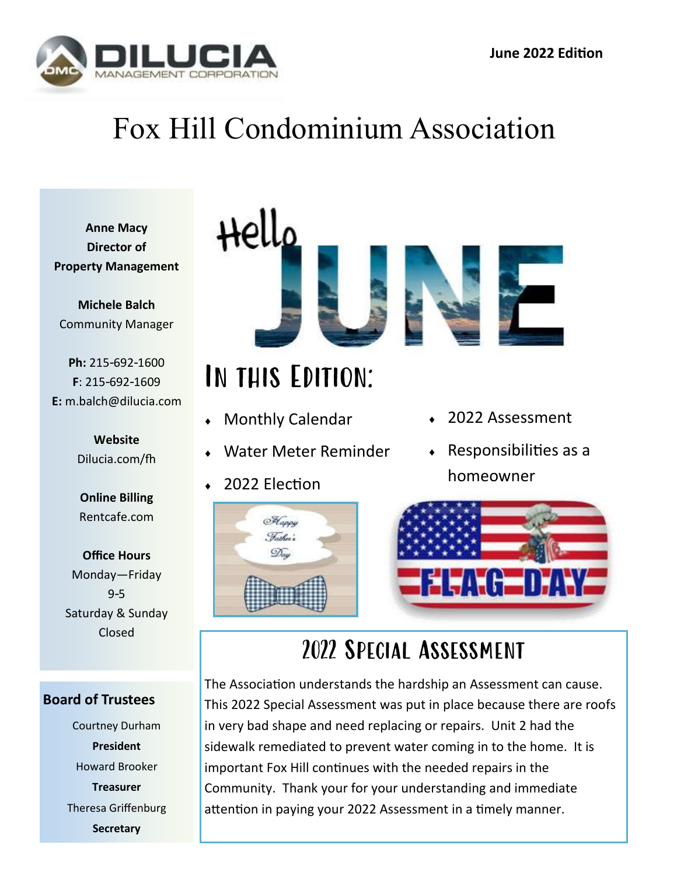

# Fox Hill Condominium Association

**Anne Macy Director of Property Management**

**Michele Balch** Community Manager

**Ph:** 215-692-1600 **F**: 215-692-1609 **E:** m.balch@dilucia.com

> **Website** Dilucia.com/fh

**Online Billing** Rentcafe.com

**Office Hours** Monday—Friday 9-5 Saturday & Sunday Closed

#### **Board of Trustees**

Courtney Durham **President** Howard Brooker **Treasurer** Theresa Griffenburg **Secretary**



# In this Edition:

- Monthly Calendar
- Water Meter Reminder
- 2022 Election



- 2022 Assessment
- $\leftarrow$  Responsibilities as a homeowner



## 2022 Special Assessment

The Association understands the hardship an Assessment can cause. This 2022 Special Assessment was put in place because there are roofs in very bad shape and need replacing or repairs. Unit 2 had the sidewalk remediated to prevent water coming in to the home. It is important Fox Hill continues with the needed repairs in the Community. Thank your for your understanding and immediate attention in paying your 2022 Assessment in a timely manner.